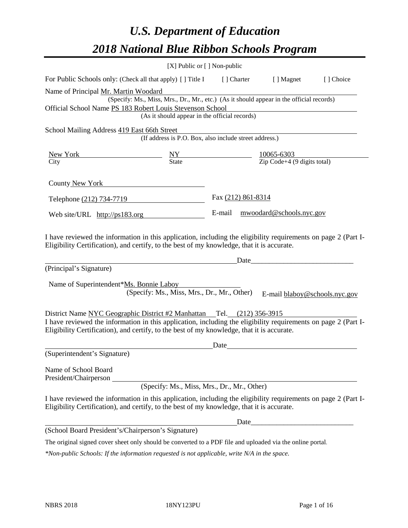# *U.S. Department of Education 2018 National Blue Ribbon Schools Program*

|                                                                                                                                                                                                              | [X] Public or [] Non-public                                                                                                               |                    |             |                                       |           |
|--------------------------------------------------------------------------------------------------------------------------------------------------------------------------------------------------------------|-------------------------------------------------------------------------------------------------------------------------------------------|--------------------|-------------|---------------------------------------|-----------|
| For Public Schools only: (Check all that apply) [ ] Title I                                                                                                                                                  |                                                                                                                                           |                    | [ ] Charter | [ ] Magnet                            | [] Choice |
| Name of Principal Mr. Martin Woodard<br>Official School Name PS 183 Robert Louis Stevenson School                                                                                                            | (Specify: Ms., Miss, Mrs., Dr., Mr., etc.) (As it should appear in the official records)<br>(As it should appear in the official records) |                    |             |                                       |           |
|                                                                                                                                                                                                              |                                                                                                                                           |                    |             |                                       |           |
| School Mailing Address 419 East 66th Street                                                                                                                                                                  | (If address is P.O. Box, also include street address.)                                                                                    |                    |             |                                       |           |
|                                                                                                                                                                                                              |                                                                                                                                           |                    |             |                                       |           |
| New York New York New York 10065-6303<br>City State 2ip Code+4 (9 digits total)                                                                                                                              |                                                                                                                                           |                    |             |                                       |           |
| County New York                                                                                                                                                                                              |                                                                                                                                           |                    |             |                                       |           |
| Telephone (212) 734-7719                                                                                                                                                                                     |                                                                                                                                           | Fax (212) 861-8314 |             |                                       |           |
| Web site/URL $\frac{http://ps183.org}{http://ps183.org}$                                                                                                                                                     |                                                                                                                                           |                    |             | E-mail mwoodard@schools.nyc.gov       |           |
| (Principal's Signature)<br>Name of Superintendent*Ms. Bonnie Laboy                                                                                                                                           | (Specify: Ms., Miss, Mrs., Dr., Mr., Other)                                                                                               |                    |             | Date<br>E-mail blaboy@schools.nyc.gov |           |
| District Name NYC Geographic District #2 Manhattan Tel. (212) 356-3915                                                                                                                                       |                                                                                                                                           |                    |             |                                       |           |
| I have reviewed the information in this application, including the eligibility requirements on page 2 (Part I-<br>Eligibility Certification), and certify, to the best of my knowledge, that it is accurate. |                                                                                                                                           |                    |             |                                       |           |
|                                                                                                                                                                                                              |                                                                                                                                           | Date               |             |                                       |           |
| (Superintendent's Signature)                                                                                                                                                                                 |                                                                                                                                           |                    |             |                                       |           |
| Name of School Board<br>President/Chairperson                                                                                                                                                                |                                                                                                                                           |                    |             |                                       |           |
|                                                                                                                                                                                                              | (Specify: Ms., Miss, Mrs., Dr., Mr., Other)                                                                                               |                    |             |                                       |           |
| I have reviewed the information in this application, including the eligibility requirements on page 2 (Part I-<br>Eligibility Certification), and certify, to the best of my knowledge, that it is accurate. |                                                                                                                                           |                    |             |                                       |           |
|                                                                                                                                                                                                              |                                                                                                                                           |                    | Date        |                                       |           |
| (School Board President's/Chairperson's Signature)                                                                                                                                                           |                                                                                                                                           |                    |             |                                       |           |
| The original signed cover sheet only should be converted to a PDF file and uploaded via the online portal.                                                                                                   |                                                                                                                                           |                    |             |                                       |           |

*\*Non-public Schools: If the information requested is not applicable, write N/A in the space.*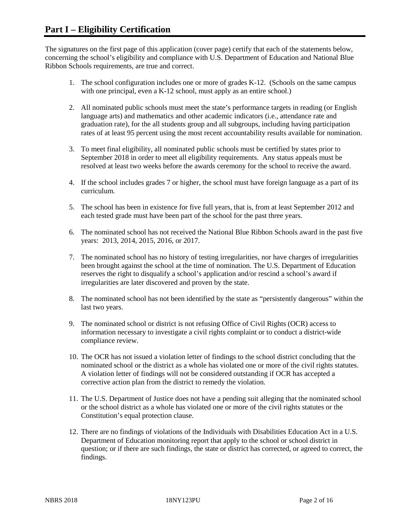The signatures on the first page of this application (cover page) certify that each of the statements below, concerning the school's eligibility and compliance with U.S. Department of Education and National Blue Ribbon Schools requirements, are true and correct.

- 1. The school configuration includes one or more of grades K-12. (Schools on the same campus with one principal, even a K-12 school, must apply as an entire school.)
- 2. All nominated public schools must meet the state's performance targets in reading (or English language arts) and mathematics and other academic indicators (i.e., attendance rate and graduation rate), for the all students group and all subgroups, including having participation rates of at least 95 percent using the most recent accountability results available for nomination.
- 3. To meet final eligibility, all nominated public schools must be certified by states prior to September 2018 in order to meet all eligibility requirements. Any status appeals must be resolved at least two weeks before the awards ceremony for the school to receive the award.
- 4. If the school includes grades 7 or higher, the school must have foreign language as a part of its curriculum.
- 5. The school has been in existence for five full years, that is, from at least September 2012 and each tested grade must have been part of the school for the past three years.
- 6. The nominated school has not received the National Blue Ribbon Schools award in the past five years: 2013, 2014, 2015, 2016, or 2017.
- 7. The nominated school has no history of testing irregularities, nor have charges of irregularities been brought against the school at the time of nomination. The U.S. Department of Education reserves the right to disqualify a school's application and/or rescind a school's award if irregularities are later discovered and proven by the state.
- 8. The nominated school has not been identified by the state as "persistently dangerous" within the last two years.
- 9. The nominated school or district is not refusing Office of Civil Rights (OCR) access to information necessary to investigate a civil rights complaint or to conduct a district-wide compliance review.
- 10. The OCR has not issued a violation letter of findings to the school district concluding that the nominated school or the district as a whole has violated one or more of the civil rights statutes. A violation letter of findings will not be considered outstanding if OCR has accepted a corrective action plan from the district to remedy the violation.
- 11. The U.S. Department of Justice does not have a pending suit alleging that the nominated school or the school district as a whole has violated one or more of the civil rights statutes or the Constitution's equal protection clause.
- 12. There are no findings of violations of the Individuals with Disabilities Education Act in a U.S. Department of Education monitoring report that apply to the school or school district in question; or if there are such findings, the state or district has corrected, or agreed to correct, the findings.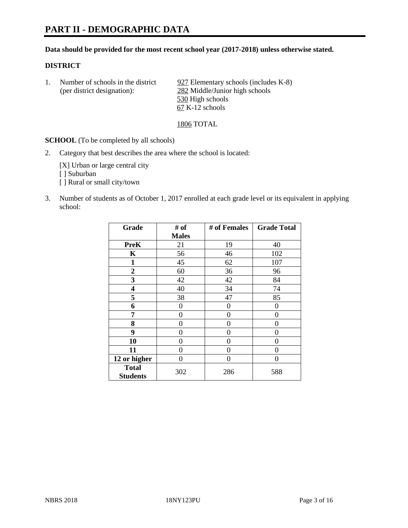### **Data should be provided for the most recent school year (2017-2018) unless otherwise stated.**

### **DISTRICT**

1. Number of schools in the district 927 Elementary schools (includes K-8) (per district designation): 282 Middle/Junior high schools 530 High schools 67 K-12 schools

1806 TOTAL

**SCHOOL** (To be completed by all schools)

2. Category that best describes the area where the school is located:

[X] Urban or large central city [ ] Suburban [] Rural or small city/town

3. Number of students as of October 1, 2017 enrolled at each grade level or its equivalent in applying school:

| Grade                           | # of         | # of Females | <b>Grade Total</b> |
|---------------------------------|--------------|--------------|--------------------|
|                                 | <b>Males</b> |              |                    |
| <b>PreK</b>                     | 21           | 19           | 40                 |
| K                               | 56           | 46           | 102                |
| $\mathbf{1}$                    | 45           | 62           | 107                |
| 2                               | 60           | 36           | 96                 |
| 3                               | 42           | 42           | 84                 |
| 4                               | 40           | 34           | 74                 |
| 5                               | 38           | 47           | 85                 |
| 6                               | 0            | 0            | 0                  |
| 7                               | 0            | 0            | 0                  |
| 8                               | 0            | 0            | 0                  |
| 9                               | 0            | 0            | 0                  |
| 10                              | 0            | 0            | 0                  |
| 11                              | 0            | 0            | 0                  |
| 12 or higher                    | 0            | 0            | 0                  |
| <b>Total</b><br><b>Students</b> | 302          | 286          | 588                |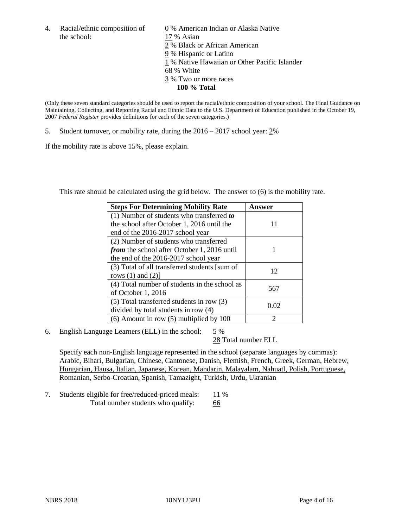the school: 17 % Asian

4. Racial/ethnic composition of  $\qquad 0\%$  American Indian or Alaska Native 2 % Black or African American 9 % Hispanic or Latino 1 % Native Hawaiian or Other Pacific Islander 68 % White 3 % Two or more races **100 % Total**

(Only these seven standard categories should be used to report the racial/ethnic composition of your school. The Final Guidance on Maintaining, Collecting, and Reporting Racial and Ethnic Data to the U.S. Department of Education published in the October 19, 2007 *Federal Register* provides definitions for each of the seven categories.)

5. Student turnover, or mobility rate, during the 2016 – 2017 school year: 2%

If the mobility rate is above 15%, please explain.

This rate should be calculated using the grid below. The answer to (6) is the mobility rate.

| <b>Steps For Determining Mobility Rate</b>         | Answer |
|----------------------------------------------------|--------|
| (1) Number of students who transferred to          |        |
| the school after October 1, 2016 until the         | 11     |
| end of the 2016-2017 school year                   |        |
| (2) Number of students who transferred             |        |
| <i>from</i> the school after October 1, 2016 until |        |
| the end of the 2016-2017 school year               |        |
| (3) Total of all transferred students [sum of      | 12     |
| rows $(1)$ and $(2)$ ]                             |        |
| (4) Total number of students in the school as      |        |
| of October 1, 2016                                 | 567    |
| $(5)$ Total transferred students in row $(3)$      |        |
| divided by total students in row (4)               | 0.02   |
| $(6)$ Amount in row $(5)$ multiplied by 100        | っ      |

6. English Language Learners (ELL) in the school: 5 %

28 Total number ELL

Specify each non-English language represented in the school (separate languages by commas): Arabic, Bihari, Bulgarian, Chinese, Cantonese, Danish, Flemish, French, Greek, German, Hebrew, Hungarian, Hausa, Italian, Japanese, Korean, Mandarin, Malayalam, Nahuatl, Polish, Portuguese, Romanian, Serbo-Croatian, Spanish, Tamazight, Turkish, Urdu, Ukranian

7. Students eligible for free/reduced-priced meals: 11 % Total number students who qualify: 66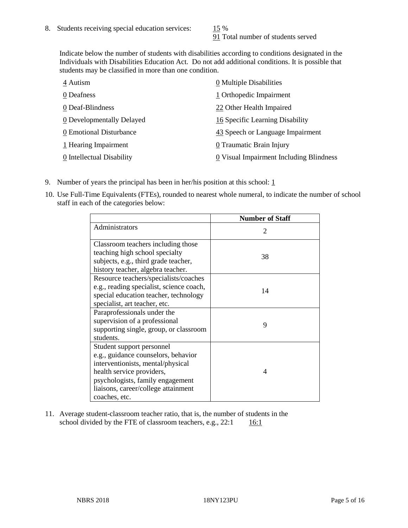91 Total number of students served

Indicate below the number of students with disabilities according to conditions designated in the Individuals with Disabilities Education Act. Do not add additional conditions. It is possible that students may be classified in more than one condition.

| 4 Autism                  | $\underline{0}$ Multiple Disabilities   |
|---------------------------|-----------------------------------------|
| 0 Deafness                | 1 Orthopedic Impairment                 |
| 0 Deaf-Blindness          | 22 Other Health Impaired                |
| 0 Developmentally Delayed | 16 Specific Learning Disability         |
| 0 Emotional Disturbance   | 43 Speech or Language Impairment        |
| 1 Hearing Impairment      | 0 Traumatic Brain Injury                |
| 0 Intellectual Disability | 0 Visual Impairment Including Blindness |

- 9. Number of years the principal has been in her/his position at this school:  $1$
- 10. Use Full-Time Equivalents (FTEs), rounded to nearest whole numeral, to indicate the number of school staff in each of the categories below:

|                                                                                                                                                                                                                                | <b>Number of Staff</b>      |
|--------------------------------------------------------------------------------------------------------------------------------------------------------------------------------------------------------------------------------|-----------------------------|
| Administrators                                                                                                                                                                                                                 | $\mathcal{D}_{\mathcal{L}}$ |
| Classroom teachers including those<br>teaching high school specialty<br>subjects, e.g., third grade teacher,<br>history teacher, algebra teacher.                                                                              | 38                          |
| Resource teachers/specialists/coaches<br>e.g., reading specialist, science coach,<br>special education teacher, technology<br>specialist, art teacher, etc.                                                                    | 14                          |
| Paraprofessionals under the<br>supervision of a professional<br>supporting single, group, or classroom<br>students.                                                                                                            | 9                           |
| Student support personnel<br>e.g., guidance counselors, behavior<br>interventionists, mental/physical<br>health service providers,<br>psychologists, family engagement<br>liaisons, career/college attainment<br>coaches, etc. | 4                           |

11. Average student-classroom teacher ratio, that is, the number of students in the school divided by the FTE of classroom teachers, e.g.,  $22:1$  16:1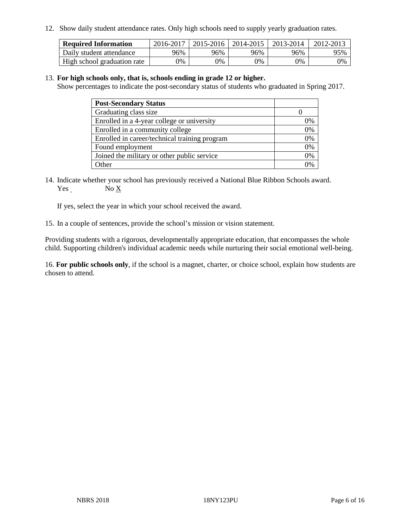12. Show daily student attendance rates. Only high schools need to supply yearly graduation rates.

| <b>Required Information</b> | 2016-2017 | $2015 - 2016$ | 2014-2015 | 2013-2014 | 2012-2013 |
|-----------------------------|-----------|---------------|-----------|-----------|-----------|
| Daily student attendance    | 96%       | 96%           | 96%       | 96%       | 95%       |
| High school graduation rate | 0%        | 0%            | 0%        | 9%        | 0%        |

#### 13. **For high schools only, that is, schools ending in grade 12 or higher.**

Show percentages to indicate the post-secondary status of students who graduated in Spring 2017.

| <b>Post-Secondary Status</b>                  |    |
|-----------------------------------------------|----|
| Graduating class size                         |    |
| Enrolled in a 4-year college or university    | 0% |
| Enrolled in a community college               | 0% |
| Enrolled in career/technical training program | 0% |
| Found employment                              | 0% |
| Joined the military or other public service   | 0% |
| Other                                         | ገ% |

14. Indicate whether your school has previously received a National Blue Ribbon Schools award. Yes No X

If yes, select the year in which your school received the award.

15. In a couple of sentences, provide the school's mission or vision statement.

Providing students with a rigorous, developmentally appropriate education, that encompasses the whole child. Supporting children's individual academic needs while nurturing their social emotional well-being.

16. **For public schools only**, if the school is a magnet, charter, or choice school, explain how students are chosen to attend.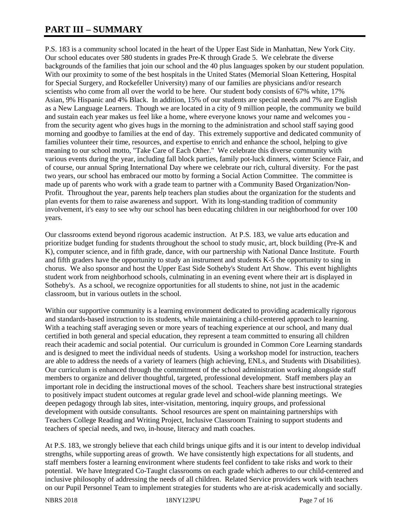# **PART III – SUMMARY**

P.S. 183 is a community school located in the heart of the Upper East Side in Manhattan, New York City. Our school educates over 580 students in grades Pre-K through Grade 5. We celebrate the diverse backgrounds of the families that join our school and the 40 plus languages spoken by our student population. With our proximity to some of the best hospitals in the United States (Memorial Sloan Kettering, Hospital for Special Surgery, and Rockefeller University) many of our families are physicians and/or research scientists who come from all over the world to be here. Our student body consists of 67% white, 17% Asian, 9% Hispanic and 4% Black. In addition, 15% of our students are special needs and 7% are English as a New Language Learners. Though we are located in a city of 9 million people, the community we build and sustain each year makes us feel like a home, where everyone knows your name and welcomes you from the security agent who gives hugs in the morning to the administration and school staff saying good morning and goodbye to families at the end of day. This extremely supportive and dedicated community of families volunteer their time, resources, and expertise to enrich and enhance the school, helping to give meaning to our school motto, "Take Care of Each Other." We celebrate this diverse community with various events during the year, including fall block parties, family pot-luck dinners, winter Science Fair, and of course, our annual Spring International Day where we celebrate our rich, cultural diversity. For the past two years, our school has embraced our motto by forming a Social Action Committee. The committee is made up of parents who work with a grade team to partner with a Community Based Organization/Non-Profit. Throughout the year, parents help teachers plan studies about the organization for the students and plan events for them to raise awareness and support. With its long-standing tradition of community involvement, it's easy to see why our school has been educating children in our neighborhood for over 100 years.

Our classrooms extend beyond rigorous academic instruction. At P.S. 183, we value arts education and prioritize budget funding for students throughout the school to study music, art, block building (Pre-K and K), computer science, and in fifth grade, dance, with our partnership with National Dance Institute. Fourth and fifth graders have the opportunity to study an instrument and students K-5 the opportunity to sing in chorus. We also sponsor and host the Upper East Side Sotheby's Student Art Show. This event highlights student work from neighborhood schools, culminating in an evening event where their art is displayed in Sotheby's. As a school, we recognize opportunities for all students to shine, not just in the academic classroom, but in various outlets in the school.

Within our supportive community is a learning environment dedicated to providing academically rigorous and standards-based instruction to its students, while maintaining a child-centered approach to learning. With a teaching staff averaging seven or more years of teaching experience at our school, and many dual certified in both general and special education, they represent a team committed to ensuring all children reach their academic and social potential. Our curriculum is grounded in Common Core Learning standards and is designed to meet the individual needs of students. Using a workshop model for instruction, teachers are able to address the needs of a variety of learners (high achieving, ENLs, and Students with Disabilities). Our curriculum is enhanced through the commitment of the school administration working alongside staff members to organize and deliver thoughtful, targeted, professional development. Staff members play an important role in deciding the instructional moves of the school. Teachers share best instructional strategies to positively impact student outcomes at regular grade level and school-wide planning meetings. We deepen pedagogy through lab sites, inter-visitation, mentoring, inquiry groups, and professional development with outside consultants. School resources are spent on maintaining partnerships with Teachers College Reading and Writing Project, Inclusive Classroom Training to support students and teachers of special needs, and two, in-house, literacy and math coaches.

At P.S. 183, we strongly believe that each child brings unique gifts and it is our intent to develop individual strengths, while supporting areas of growth. We have consistently high expectations for all students, and staff members foster a learning environment where students feel confident to take risks and work to their potential. We have Integrated Co-Taught classrooms on each grade which adheres to our child-centered and inclusive philosophy of addressing the needs of all children. Related Service providers work with teachers on our Pupil Personnel Team to implement strategies for students who are at-risk academically and socially.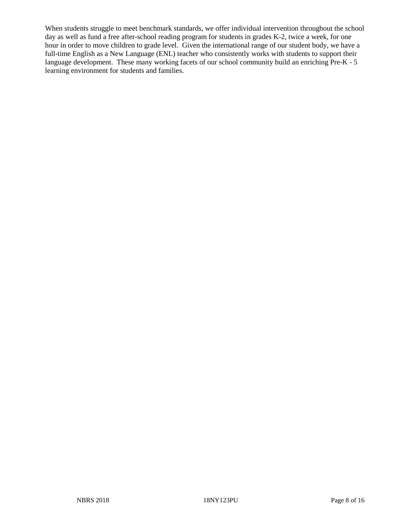When students struggle to meet benchmark standards, we offer individual intervention throughout the school day as well as fund a free after-school reading program for students in grades K-2, twice a week, for one hour in order to move children to grade level. Given the international range of our student body, we have a full-time English as a New Language (ENL) teacher who consistently works with students to support their language development. These many working facets of our school community build an enriching Pre-K - 5 learning environment for students and families.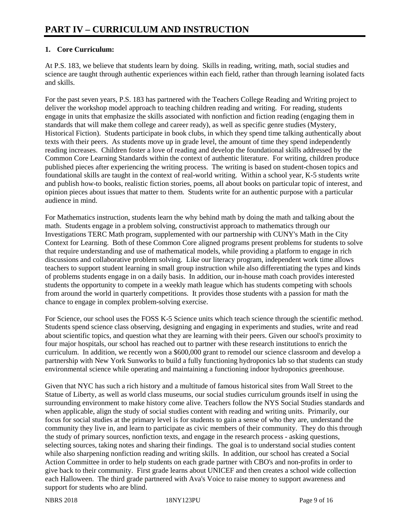# **1. Core Curriculum:**

At P.S. 183, we believe that students learn by doing. Skills in reading, writing, math, social studies and science are taught through authentic experiences within each field, rather than through learning isolated facts and skills.

For the past seven years, P.S. 183 has partnered with the Teachers College Reading and Writing project to deliver the workshop model approach to teaching children reading and writing. For reading, students engage in units that emphasize the skills associated with nonfiction and fiction reading (engaging them in standards that will make them college and career ready), as well as specific genre studies (Mystery, Historical Fiction). Students participate in book clubs, in which they spend time talking authentically about texts with their peers. As students move up in grade level, the amount of time they spend independently reading increases. Children foster a love of reading and develop the foundational skills addressed by the Common Core Learning Standards within the context of authentic literature. For writing, children produce published pieces after experiencing the writing process. The writing is based on student-chosen topics and foundational skills are taught in the context of real-world writing. Within a school year, K-5 students write and publish how-to books, realistic fiction stories, poems, all about books on particular topic of interest, and opinion pieces about issues that matter to them. Students write for an authentic purpose with a particular audience in mind.

For Mathematics instruction, students learn the why behind math by doing the math and talking about the math. Students engage in a problem solving, constructivist approach to mathematics through our Investigations TERC Math program, supplemented with our partnership with CUNY's Math in the City Context for Learning. Both of these Common Core aligned programs present problems for students to solve that require understanding and use of mathematical models, while providing a platform to engage in rich discussions and collaborative problem solving. Like our literacy program, independent work time allows teachers to support student learning in small group instruction while also differentiating the types and kinds of problems students engage in on a daily basis. In addition, our in-house math coach provides interested students the opportunity to compete in a weekly math league which has students competing with schools from around the world in quarterly competitions. It provides those students with a passion for math the chance to engage in complex problem-solving exercise.

For Science, our school uses the FOSS K-5 Science units which teach science through the scientific method. Students spend science class observing, designing and engaging in experiments and studies, write and read about scientific topics, and question what they are learning with their peers. Given our school's proximity to four major hospitals, our school has reached out to partner with these research institutions to enrich the curriculum. In addition, we recently won a \$600,000 grant to remodel our science classroom and develop a partnership with New York Sunworks to build a fully functioning hydroponics lab so that students can study environmental science while operating and maintaining a functioning indoor hydroponics greenhouse.

Given that NYC has such a rich history and a multitude of famous historical sites from Wall Street to the Statue of Liberty, as well as world class museums, our social studies curriculum grounds itself in using the surrounding environment to make history come alive. Teachers follow the NYS Social Studies standards and when applicable, align the study of social studies content with reading and writing units. Primarily, our focus for social studies at the primary level is for students to gain a sense of who they are, understand the community they live in, and learn to participate as civic members of their community. They do this through the study of primary sources, nonfiction texts, and engage in the research process - asking questions, selecting sources, taking notes and sharing their findings. The goal is to understand social studies content while also sharpening nonfiction reading and writing skills. In addition, our school has created a Social Action Committee in order to help students on each grade partner with CBO's and non-profits in order to give back to their community. First grade learns about UNICEF and then creates a school wide collection each Halloween. The third grade partnered with Ava's Voice to raise money to support awareness and support for students who are blind.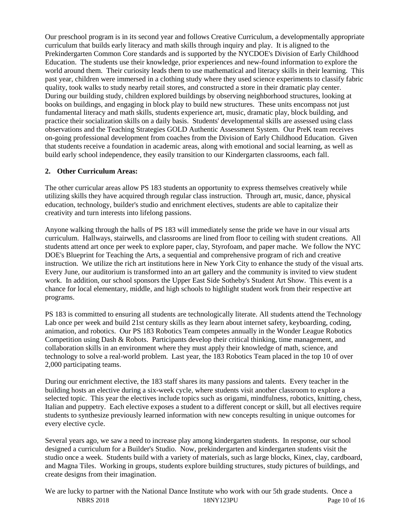Our preschool program is in its second year and follows Creative Curriculum, a developmentally appropriate curriculum that builds early literacy and math skills through inquiry and play. It is aligned to the Prekindergarten Common Core standards and is supported by the NYCDOE's Division of Early Childhood Education. The students use their knowledge, prior experiences and new-found information to explore the world around them. Their curiosity leads them to use mathematical and literacy skills in their learning. This past year, children were immersed in a clothing study where they used science experiments to classify fabric quality, took walks to study nearby retail stores, and constructed a store in their dramatic play center. During our building study, children explored buildings by observing neighborhood structures, looking at books on buildings, and engaging in block play to build new structures. These units encompass not just fundamental literacy and math skills, students experience art, music, dramatic play, block building, and practice their socialization skills on a daily basis. Students' developmental skills are assessed using class observations and the Teaching Strategies GOLD Authentic Assessment System. Our PreK team receives on-going professional development from coaches from the Division of Early Childhood Education. Given that students receive a foundation in academic areas, along with emotional and social learning, as well as build early school independence, they easily transition to our Kindergarten classrooms, each fall.

# **2. Other Curriculum Areas:**

The other curricular areas allow PS 183 students an opportunity to express themselves creatively while utilizing skills they have acquired through regular class instruction. Through art, music, dance, physical education, technology, builder's studio and enrichment electives, students are able to capitalize their creativity and turn interests into lifelong passions.

Anyone walking through the halls of PS 183 will immediately sense the pride we have in our visual arts curriculum. Hallways, stairwells, and classrooms are lined from floor to ceiling with student creations. All students attend art once per week to explore paper, clay, Styrofoam, and paper mache. We follow the NYC DOE's Blueprint for Teaching the Arts, a sequential and comprehensive program of rich and creative instruction. We utilize the rich art institutions here in New York City to enhance the study of the visual arts. Every June, our auditorium is transformed into an art gallery and the community is invited to view student work. In addition, our school sponsors the Upper East Side Sotheby's Student Art Show. This event is a chance for local elementary, middle, and high schools to highlight student work from their respective art programs.

PS 183 is committed to ensuring all students are technologically literate. All students attend the Technology Lab once per week and build 21st century skills as they learn about internet safety, keyboarding, coding, animation, and robotics. Our PS 183 Robotics Team competes annually in the Wonder League Robotics Competition using Dash & Robots. Participants develop their critical thinking, time management, and collaboration skills in an environment where they must apply their knowledge of math, science, and technology to solve a real-world problem. Last year, the 183 Robotics Team placed in the top 10 of over 2,000 participating teams.

During our enrichment elective, the 183 staff shares its many passions and talents. Every teacher in the building hosts an elective during a six-week cycle, where students visit another classroom to explore a selected topic. This year the electives include topics such as origami, mindfulness, robotics, knitting, chess, Italian and puppetry. Each elective exposes a student to a different concept or skill, but all electives require students to synthesize previously learned information with new concepts resulting in unique outcomes for every elective cycle.

Several years ago, we saw a need to increase play among kindergarten students. In response, our school designed a curriculum for a Builder's Studio. Now, prekindergarten and kindergarten students visit the studio once a week. Students build with a variety of materials, such as large blocks, Kinex, clay, cardboard, and Magna Tiles. Working in groups, students explore building structures, study pictures of buildings, and create designs from their imagination.

NBRS 2018 18NY123PU Page 10 of 16 We are lucky to partner with the National Dance Institute who work with our 5th grade students. Once a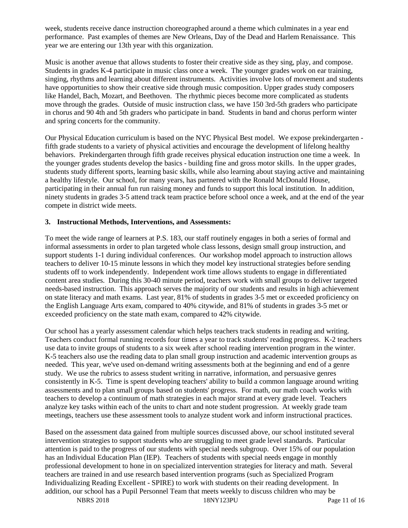week, students receive dance instruction choreographed around a theme which culminates in a year end performance. Past examples of themes are New Orleans, Day of the Dead and Harlem Renaissance. This year we are entering our 13th year with this organization.

Music is another avenue that allows students to foster their creative side as they sing, play, and compose. Students in grades K-4 participate in music class once a week. The younger grades work on ear training, singing, rhythms and learning about different instruments. Activities involve lots of movement and students have opportunities to show their creative side through music composition. Upper grades study composers like Handel, Bach, Mozart, and Beethoven. The rhythmic pieces become more complicated as students move through the grades. Outside of music instruction class, we have 150 3rd-5th graders who participate in chorus and 90 4th and 5th graders who participate in band. Students in band and chorus perform winter and spring concerts for the community.

Our Physical Education curriculum is based on the NYC Physical Best model. We expose prekindergarten fifth grade students to a variety of physical activities and encourage the development of lifelong healthy behaviors. Prekindergarten through fifth grade receives physical education instruction one time a week. In the younger grades students develop the basics - building fine and gross motor skills. In the upper grades, students study different sports, learning basic skills, while also learning about staying active and maintaining a healthy lifestyle. Our school, for many years, has partnered with the Ronald McDonald House, participating in their annual fun run raising money and funds to support this local institution. In addition, ninety students in grades 3-5 attend track team practice before school once a week, and at the end of the year compete in district wide meets.

# **3. Instructional Methods, Interventions, and Assessments:**

To meet the wide range of learners at P.S. 183, our staff routinely engages in both a series of formal and informal assessments in order to plan targeted whole class lessons, design small group instruction, and support students 1-1 during individual conferences. Our workshop model approach to instruction allows teachers to deliver 10-15 minute lessons in which they model key instructional strategies before sending students off to work independently. Independent work time allows students to engage in differentiated content area studies. During this 30-40 minute period, teachers work with small groups to deliver targeted needs-based instruction. This approach serves the majority of our students and results in high achievement on state literacy and math exams. Last year, 81% of students in grades 3-5 met or exceeded proficiency on the English Language Arts exam, compared to 40% citywide, and 81% of students in grades 3-5 met or exceeded proficiency on the state math exam, compared to 42% citywide.

Our school has a yearly assessment calendar which helps teachers track students in reading and writing. Teachers conduct formal running records four times a year to track students' reading progress. K-2 teachers use data to invite groups of students to a six week after school reading intervention program in the winter. K-5 teachers also use the reading data to plan small group instruction and academic intervention groups as needed. This year, we've used on-demand writing assessments both at the beginning and end of a genre study. We use the rubrics to assess student writing in narrative, information, and persuasive genres consistently in K-5. Time is spent developing teachers' ability to build a common language around writing assessments and to plan small groups based on students' progress. For math, our math coach works with teachers to develop a continuum of math strategies in each major strand at every grade level. Teachers analyze key tasks within each of the units to chart and note student progression. At weekly grade team meetings, teachers use these assessment tools to analyze student work and inform instructional practices.

Based on the assessment data gained from multiple sources discussed above, our school instituted several intervention strategies to support students who are struggling to meet grade level standards. Particular attention is paid to the progress of our students with special needs subgroup. Over 15% of our population has an Individual Education Plan (IEP). Teachers of students with special needs engage in monthly professional development to hone in on specialized intervention strategies for literacy and math. Several teachers are trained in and use research based intervention programs (such as Specialized Program Individualizing Reading Excellent - SPIRE) to work with students on their reading development. In addition, our school has a Pupil Personnel Team that meets weekly to discuss children who may be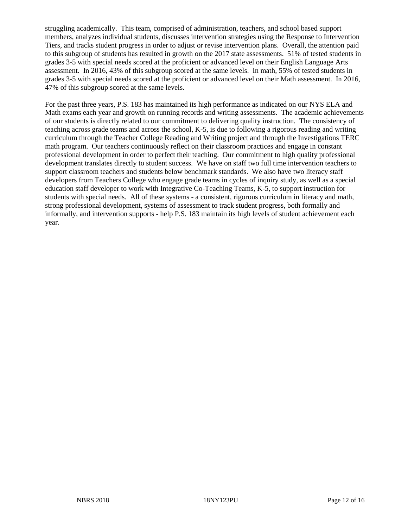struggling academically. This team, comprised of administration, teachers, and school based support members, analyzes individual students, discusses intervention strategies using the Response to Intervention Tiers, and tracks student progress in order to adjust or revise intervention plans. Overall, the attention paid to this subgroup of students has resulted in growth on the 2017 state assessments. 51% of tested students in grades 3-5 with special needs scored at the proficient or advanced level on their English Language Arts assessment. In 2016, 43% of this subgroup scored at the same levels. In math, 55% of tested students in grades 3-5 with special needs scored at the proficient or advanced level on their Math assessment. In 2016, 47% of this subgroup scored at the same levels.

For the past three years, P.S. 183 has maintained its high performance as indicated on our NYS ELA and Math exams each year and growth on running records and writing assessments. The academic achievements of our students is directly related to our commitment to delivering quality instruction. The consistency of teaching across grade teams and across the school, K-5, is due to following a rigorous reading and writing curriculum through the Teacher College Reading and Writing project and through the Investigations TERC math program. Our teachers continuously reflect on their classroom practices and engage in constant professional development in order to perfect their teaching. Our commitment to high quality professional development translates directly to student success. We have on staff two full time intervention teachers to support classroom teachers and students below benchmark standards. We also have two literacy staff developers from Teachers College who engage grade teams in cycles of inquiry study, as well as a special education staff developer to work with Integrative Co-Teaching Teams, K-5, to support instruction for students with special needs. All of these systems - a consistent, rigorous curriculum in literacy and math, strong professional development, systems of assessment to track student progress, both formally and informally, and intervention supports - help P.S. 183 maintain its high levels of student achievement each year.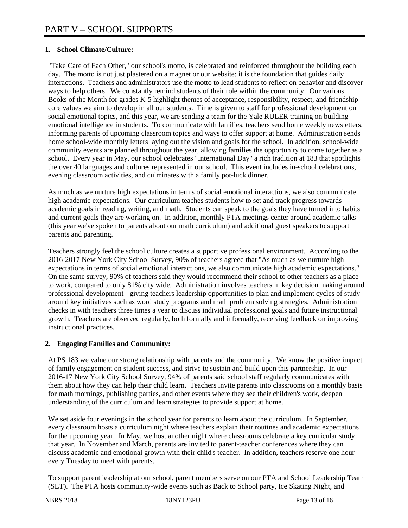# **1. School Climate/Culture:**

"Take Care of Each Other," our school's motto, is celebrated and reinforced throughout the building each day. The motto is not just plastered on a magnet or our website; it is the foundation that guides daily interactions. Teachers and administrators use the motto to lead students to reflect on behavior and discover ways to help others. We constantly remind students of their role within the community. Our various Books of the Month for grades K-5 highlight themes of acceptance, responsibility, respect, and friendship core values we aim to develop in all our students. Time is given to staff for professional development on social emotional topics, and this year, we are sending a team for the Yale RULER training on building emotional intelligence in students. To communicate with families, teachers send home weekly newsletters, informing parents of upcoming classroom topics and ways to offer support at home. Administration sends home school-wide monthly letters laying out the vision and goals for the school. In addition, school-wide community events are planned throughout the year, allowing families the opportunity to come together as a school. Every year in May, our school celebrates "International Day" a rich tradition at 183 that spotlights the over 40 languages and cultures represented in our school. This event includes in-school celebrations, evening classroom activities, and culminates with a family pot-luck dinner.

As much as we nurture high expectations in terms of social emotional interactions, we also communicate high academic expectations. Our curriculum teaches students how to set and track progress towards academic goals in reading, writing, and math. Students can speak to the goals they have turned into habits and current goals they are working on. In addition, monthly PTA meetings center around academic talks (this year we've spoken to parents about our math curriculum) and additional guest speakers to support parents and parenting.

Teachers strongly feel the school culture creates a supportive professional environment. According to the 2016-2017 New York City School Survey, 90% of teachers agreed that "As much as we nurture high expectations in terms of social emotional interactions, we also communicate high academic expectations." On the same survey, 90% of teachers said they would recommend their school to other teachers as a place to work, compared to only 81% city wide. Administration involves teachers in key decision making around professional development - giving teachers leadership opportunities to plan and implement cycles of study around key initiatives such as word study programs and math problem solving strategies. Administration checks in with teachers three times a year to discuss individual professional goals and future instructional growth. Teachers are observed regularly, both formally and informally, receiving feedback on improving instructional practices.

### **2. Engaging Families and Community:**

At PS 183 we value our strong relationship with parents and the community. We know the positive impact of family engagement on student success, and strive to sustain and build upon this partnership. In our 2016-17 New York City School Survey, 94% of parents said school staff regularly communicates with them about how they can help their child learn. Teachers invite parents into classrooms on a monthly basis for math mornings, publishing parties, and other events where they see their children's work, deepen understanding of the curriculum and learn strategies to provide support at home.

We set aside four evenings in the school year for parents to learn about the curriculum. In September, every classroom hosts a curriculum night where teachers explain their routines and academic expectations for the upcoming year. In May, we host another night where classrooms celebrate a key curricular study that year. In November and March, parents are invited to parent-teacher conferences where they can discuss academic and emotional growth with their child's teacher. In addition, teachers reserve one hour every Tuesday to meet with parents.

To support parent leadership at our school, parent members serve on our PTA and School Leadership Team (SLT). The PTA hosts community-wide events such as Back to School party, Ice Skating Night, and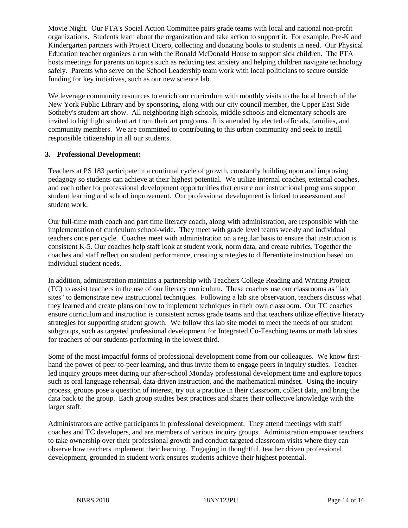Movie Night. Our PTA's Social Action Committee pairs grade teams with local and national non-profit organizations. Students learn about the organization and take action to support it. For example, Pre-K and Kindergarten partners with Project Cicero, collecting and donating books to students in need. Our Physical Education teacher organizes a run with the Ronald McDonald House to support sick children. The PTA hosts meetings for parents on topics such as reducing test anxiety and helping children navigate technology safely. Parents who serve on the School Leadership team work with local politicians to secure outside funding for key initiatives, such as our new science lab.

We leverage community resources to enrich our curriculum with monthly visits to the local branch of the New York Public Library and by sponsoring, along with our city council member, the Upper East Side Sotheby's student art show. All neighboring high schools, middle schools and elementary schools are invited to highlight student art from their art programs. It is attended by elected officials, families, and community members. We are committed to contributing to this urban community and seek to instill responsible citizenship in all our students.

### **3. Professional Development:**

Teachers at PS 183 participate in a continual cycle of growth, constantly building upon and improving pedagogy so students can achieve at their highest potential. We utilize internal coaches, external coaches, and each other for professional development opportunities that ensure our instructional programs support student learning and school improvement. Our professional development is linked to assessment and student work.

Our full-time math coach and part time literacy coach, along with administration, are responsible with the implementation of curriculum school-wide. They meet with grade level teams weekly and individual teachers once per cycle. Coaches meet with administration on a regular basis to ensure that instruction is consistent K-5. Our coaches help staff look at student work, norm data, and create rubrics. Together the coaches and staff reflect on student performance, creating strategies to differentiate instruction based on individual student needs.

In addition, administration maintains a partnership with Teachers College Reading and Writing Project (TC) to assist teachers in the use of our literacy curriculum. These coaches use our classrooms as "lab sites" to demonstrate new instructional techniques. Following a lab site observation, teachers discuss what they learned and create plans on how to implement techniques in their own classroom. Our TC coaches ensure curriculum and instruction is consistent across grade teams and that teachers utilize effective literacy strategies for supporting student growth. We follow this lab site model to meet the needs of our student subgroups, such as targeted professional development for Integrated Co-Teaching teams or math lab sites for teachers of our students performing in the lowest third.

Some of the most impactful forms of professional development come from our colleagues. We know firsthand the power of peer-to-peer learning, and thus invite them to engage peers in inquiry studies. Teacherled inquiry groups meet during our after-school Monday professional development time and explore topics such as oral language rehearsal, data-driven instruction, and the mathematical mindset. Using the inquiry process, groups pose a question of interest, try out a practice in their classroom, collect data, and bring the data back to the group. Each group studies best practices and shares their collective knowledge with the larger staff.

Administrators are active participants in professional development. They attend meetings with staff coaches and TC developers, and are members of various inquiry groups. Administration empower teachers to take ownership over their professional growth and conduct targeted classroom visits where they can observe how teachers implement their learning. Engaging in thoughtful, teacher driven professional development, grounded in student work ensures students achieve their highest potential.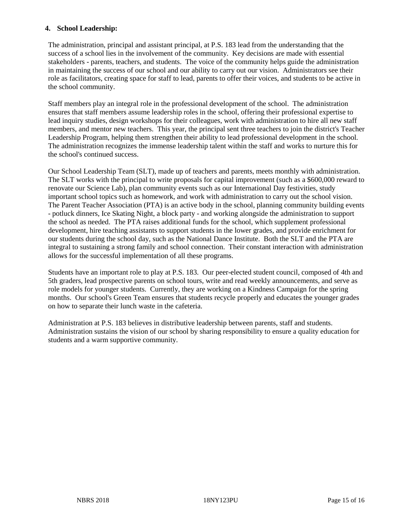## **4. School Leadership:**

The administration, principal and assistant principal, at P.S. 183 lead from the understanding that the success of a school lies in the involvement of the community. Key decisions are made with essential stakeholders - parents, teachers, and students. The voice of the community helps guide the administration in maintaining the success of our school and our ability to carry out our vision. Administrators see their role as facilitators, creating space for staff to lead, parents to offer their voices, and students to be active in the school community.

Staff members play an integral role in the professional development of the school. The administration ensures that staff members assume leadership roles in the school, offering their professional expertise to lead inquiry studies, design workshops for their colleagues, work with administration to hire all new staff members, and mentor new teachers. This year, the principal sent three teachers to join the district's Teacher Leadership Program, helping them strengthen their ability to lead professional development in the school. The administration recognizes the immense leadership talent within the staff and works to nurture this for the school's continued success.

Our School Leadership Team (SLT), made up of teachers and parents, meets monthly with administration. The SLT works with the principal to write proposals for capital improvement (such as a \$600,000 reward to renovate our Science Lab), plan community events such as our International Day festivities, study important school topics such as homework, and work with administration to carry out the school vision. The Parent Teacher Association (PTA) is an active body in the school, planning community building events - potluck dinners, Ice Skating Night, a block party - and working alongside the administration to support the school as needed. The PTA raises additional funds for the school, which supplement professional development, hire teaching assistants to support students in the lower grades, and provide enrichment for our students during the school day, such as the National Dance Institute. Both the SLT and the PTA are integral to sustaining a strong family and school connection. Their constant interaction with administration allows for the successful implementation of all these programs.

Students have an important role to play at P.S. 183. Our peer-elected student council, composed of 4th and 5th graders, lead prospective parents on school tours, write and read weekly announcements, and serve as role models for younger students. Currently, they are working on a Kindness Campaign for the spring months. Our school's Green Team ensures that students recycle properly and educates the younger grades on how to separate their lunch waste in the cafeteria.

Administration at P.S. 183 believes in distributive leadership between parents, staff and students. Administration sustains the vision of our school by sharing responsibility to ensure a quality education for students and a warm supportive community.